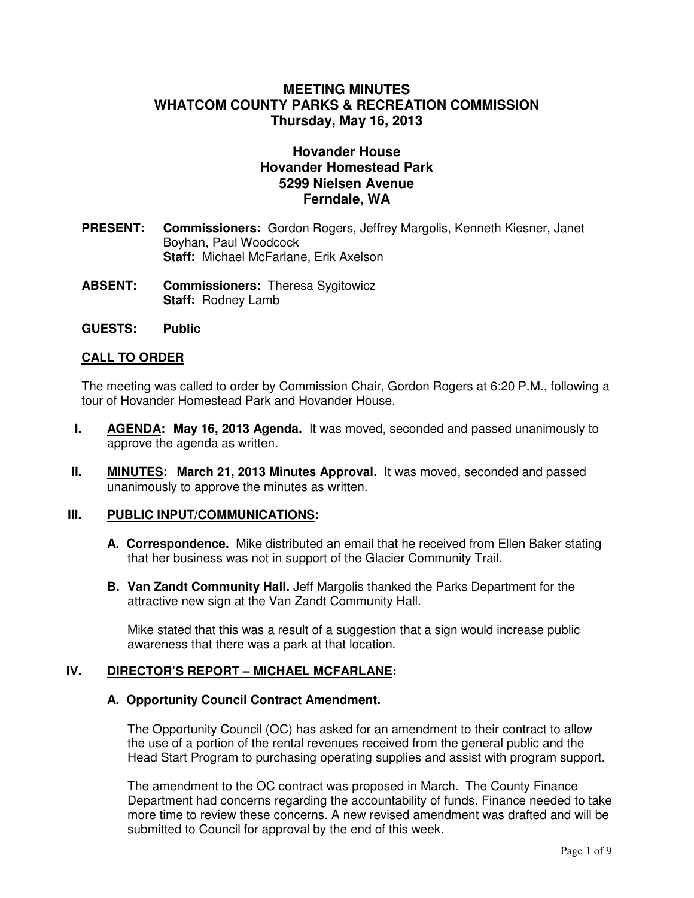# **MEETING MINUTES WHATCOM COUNTY PARKS & RECREATION COMMISSION Thursday, May 16, 2013**

# **Hovander House Hovander Homestead Park 5299 Nielsen Avenue Ferndale, WA**

- **PRESENT: Commissioners:** Gordon Rogers, Jeffrey Margolis, Kenneth Kiesner, Janet Boyhan, Paul Woodcock **Staff:** Michael McFarlane, Erik Axelson
- **ABSENT: Commissioners:** Theresa Sygitowicz  **Staff:** Rodney Lamb
- **GUESTS: Public**

# **CALL TO ORDER**

The meeting was called to order by Commission Chair, Gordon Rogers at 6:20 P.M., following a tour of Hovander Homestead Park and Hovander House.

- **I. AGENDA: May 16, 2013 Agenda.** It was moved, seconded and passed unanimously to approve the agenda as written.
- **II. MINUTES: March 21, 2013 Minutes Approval.** It was moved, seconded and passed unanimously to approve the minutes as written.

### **III. PUBLIC INPUT/COMMUNICATIONS:**

- **A. Correspondence.** Mike distributed an email that he received from Ellen Baker stating that her business was not in support of the Glacier Community Trail.
- **B. Van Zandt Community Hall.** Jeff Margolis thanked the Parks Department for the attractive new sign at the Van Zandt Community Hall.

 Mike stated that this was a result of a suggestion that a sign would increase public awareness that there was a park at that location.

#### **IV. DIRECTOR'S REPORT – MICHAEL MCFARLANE:**

#### **A. Opportunity Council Contract Amendment.**

The Opportunity Council (OC) has asked for an amendment to their contract to allow the use of a portion of the rental revenues received from the general public and the Head Start Program to purchasing operating supplies and assist with program support.

The amendment to the OC contract was proposed in March. The County Finance Department had concerns regarding the accountability of funds. Finance needed to take more time to review these concerns. A new revised amendment was drafted and will be submitted to Council for approval by the end of this week.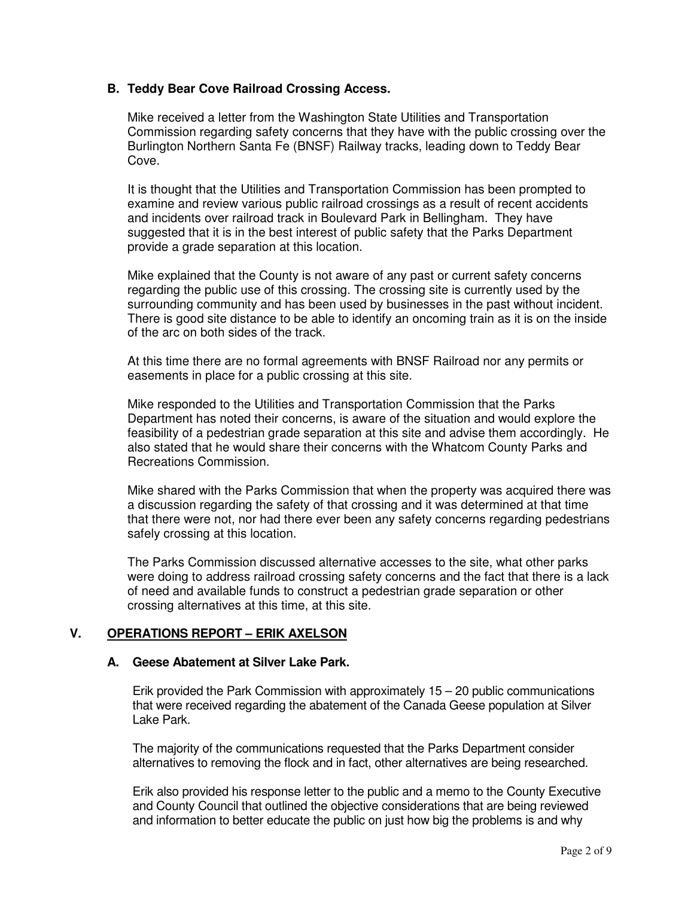# **B. Teddy Bear Cove Railroad Crossing Access.**

Mike received a letter from the Washington State Utilities and Transportation Commission regarding safety concerns that they have with the public crossing over the Burlington Northern Santa Fe (BNSF) Railway tracks, leading down to Teddy Bear Cove.

 It is thought that the Utilities and Transportation Commission has been prompted to examine and review various public railroad crossings as a result of recent accidents and incidents over railroad track in Boulevard Park in Bellingham. They have suggested that it is in the best interest of public safety that the Parks Department provide a grade separation at this location.

 Mike explained that the County is not aware of any past or current safety concerns regarding the public use of this crossing. The crossing site is currently used by the surrounding community and has been used by businesses in the past without incident. There is good site distance to be able to identify an oncoming train as it is on the inside of the arc on both sides of the track.

 At this time there are no formal agreements with BNSF Railroad nor any permits or easements in place for a public crossing at this site.

 Mike responded to the Utilities and Transportation Commission that the Parks Department has noted their concerns, is aware of the situation and would explore the feasibility of a pedestrian grade separation at this site and advise them accordingly. He also stated that he would share their concerns with the Whatcom County Parks and Recreations Commission.

 Mike shared with the Parks Commission that when the property was acquired there was a discussion regarding the safety of that crossing and it was determined at that time that there were not, nor had there ever been any safety concerns regarding pedestrians safely crossing at this location.

 The Parks Commission discussed alternative accesses to the site, what other parks were doing to address railroad crossing safety concerns and the fact that there is a lack of need and available funds to construct a pedestrian grade separation or other crossing alternatives at this time, at this site.

# **V. OPERATIONS REPORT – ERIK AXELSON**

### **A. Geese Abatement at Silver Lake Park.**

Erik provided the Park Commission with approximately  $15 - 20$  public communications that were received regarding the abatement of the Canada Geese population at Silver Lake Park.

 The majority of the communications requested that the Parks Department consider alternatives to removing the flock and in fact, other alternatives are being researched.

 Erik also provided his response letter to the public and a memo to the County Executive and County Council that outlined the objective considerations that are being reviewed and information to better educate the public on just how big the problems is and why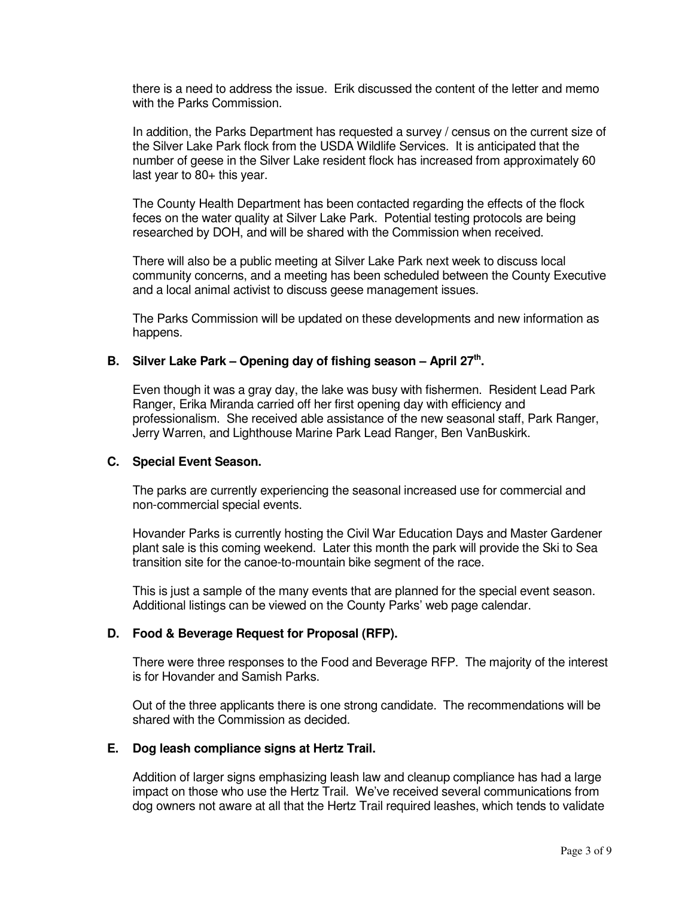there is a need to address the issue. Erik discussed the content of the letter and memo with the Parks Commission.

In addition, the Parks Department has requested a survey / census on the current size of the Silver Lake Park flock from the USDA Wildlife Services. It is anticipated that the number of geese in the Silver Lake resident flock has increased from approximately 60 last year to 80+ this year.

The County Health Department has been contacted regarding the effects of the flock feces on the water quality at Silver Lake Park. Potential testing protocols are being researched by DOH, and will be shared with the Commission when received.

There will also be a public meeting at Silver Lake Park next week to discuss local community concerns, and a meeting has been scheduled between the County Executive and a local animal activist to discuss geese management issues.

The Parks Commission will be updated on these developments and new information as happens.

# **B. Silver Lake Park – Opening day of fishing season – April 27th .**

Even though it was a gray day, the lake was busy with fishermen. Resident Lead Park Ranger, Erika Miranda carried off her first opening day with efficiency and professionalism. She received able assistance of the new seasonal staff, Park Ranger, Jerry Warren, and Lighthouse Marine Park Lead Ranger, Ben VanBuskirk.

#### **C. Special Event Season.**

The parks are currently experiencing the seasonal increased use for commercial and non-commercial special events.

 Hovander Parks is currently hosting the Civil War Education Days and Master Gardener plant sale is this coming weekend. Later this month the park will provide the Ski to Sea transition site for the canoe-to-mountain bike segment of the race.

 This is just a sample of the many events that are planned for the special event season. Additional listings can be viewed on the County Parks' web page calendar.

### **D. Food & Beverage Request for Proposal (RFP).**

There were three responses to the Food and Beverage RFP. The majority of the interest is for Hovander and Samish Parks.

 Out of the three applicants there is one strong candidate. The recommendations will be shared with the Commission as decided.

#### **E. Dog leash compliance signs at Hertz Trail.**

Addition of larger signs emphasizing leash law and cleanup compliance has had a large impact on those who use the Hertz Trail. We've received several communications from dog owners not aware at all that the Hertz Trail required leashes, which tends to validate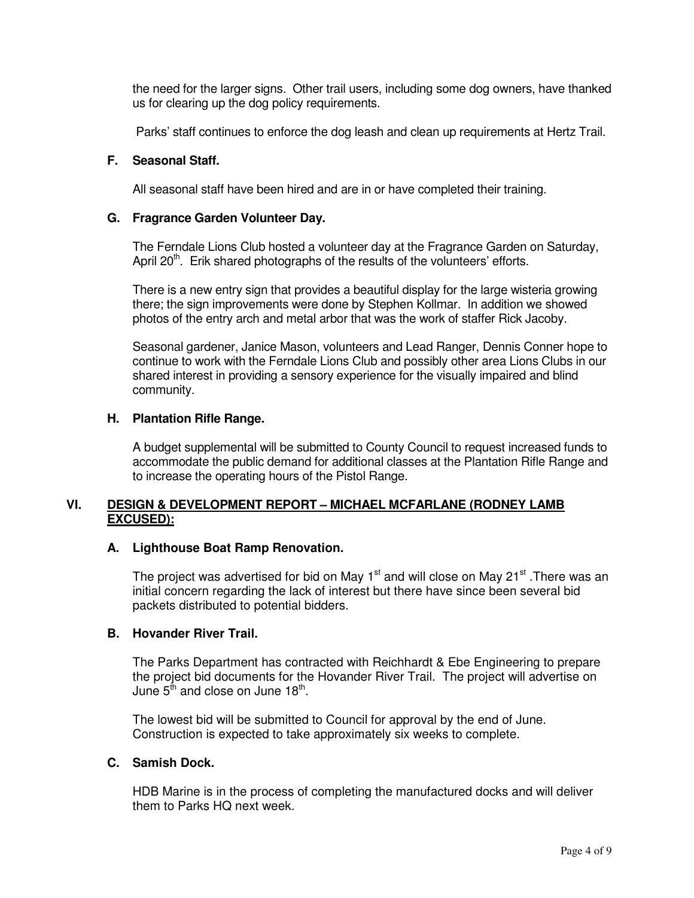the need for the larger signs. Other trail users, including some dog owners, have thanked us for clearing up the dog policy requirements.

Parks' staff continues to enforce the dog leash and clean up requirements at Hertz Trail.

# **F. Seasonal Staff.**

All seasonal staff have been hired and are in or have completed their training.

# **G. Fragrance Garden Volunteer Day.**

The Ferndale Lions Club hosted a volunteer day at the Fragrance Garden on Saturday, April  $20<sup>th</sup>$ . Erik shared photographs of the results of the volunteers' efforts.

 There is a new entry sign that provides a beautiful display for the large wisteria growing there; the sign improvements were done by Stephen Kollmar. In addition we showed photos of the entry arch and metal arbor that was the work of staffer Rick Jacoby.

 Seasonal gardener, Janice Mason, volunteers and Lead Ranger, Dennis Conner hope to continue to work with the Ferndale Lions Club and possibly other area Lions Clubs in our shared interest in providing a sensory experience for the visually impaired and blind community.

# **H. Plantation Rifle Range.**

A budget supplemental will be submitted to County Council to request increased funds to accommodate the public demand for additional classes at the Plantation Rifle Range and to increase the operating hours of the Pistol Range.

# **VI. DESIGN & DEVELOPMENT REPORT – MICHAEL MCFARLANE (RODNEY LAMB EXCUSED):**

# **A. Lighthouse Boat Ramp Renovation.**

The project was advertised for bid on May  $1<sup>st</sup>$  and will close on May 21 $<sup>st</sup>$ . There was an</sup> initial concern regarding the lack of interest but there have since been several bid packets distributed to potential bidders.

### **B. Hovander River Trail.**

The Parks Department has contracted with Reichhardt & Ebe Engineering to prepare the project bid documents for the Hovander River Trail. The project will advertise on June  $5^{\text{fh}}$  and close on June 18 $^{\text{th}}$ .

 The lowest bid will be submitted to Council for approval by the end of June. Construction is expected to take approximately six weeks to complete.

# **C. Samish Dock.**

HDB Marine is in the process of completing the manufactured docks and will deliver them to Parks HQ next week.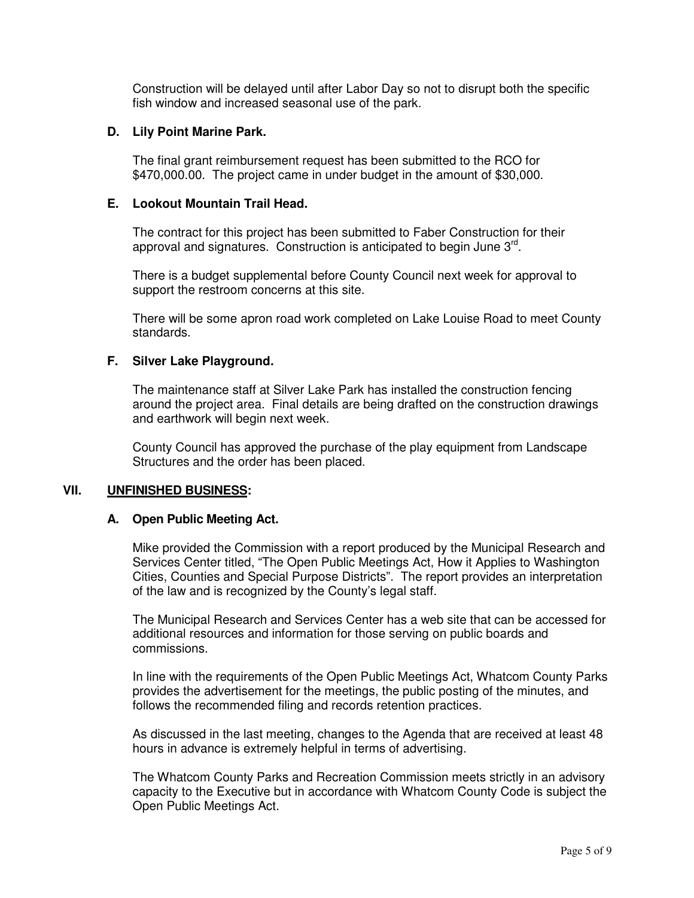Construction will be delayed until after Labor Day so not to disrupt both the specific fish window and increased seasonal use of the park.

### **D. Lily Point Marine Park.**

The final grant reimbursement request has been submitted to the RCO for \$470,000.00. The project came in under budget in the amount of \$30,000.

# **E. Lookout Mountain Trail Head.**

The contract for this project has been submitted to Faber Construction for their approval and signatures. Construction is anticipated to begin June 3<sup>rd</sup>.

 There is a budget supplemental before County Council next week for approval to support the restroom concerns at this site.

 There will be some apron road work completed on Lake Louise Road to meet County standards.

### **F. Silver Lake Playground.**

The maintenance staff at Silver Lake Park has installed the construction fencing around the project area. Final details are being drafted on the construction drawings and earthwork will begin next week.

 County Council has approved the purchase of the play equipment from Landscape Structures and the order has been placed.

### **VII. UNFINISHED BUSINESS:**

### **A. Open Public Meeting Act.**

Mike provided the Commission with a report produced by the Municipal Research and Services Center titled, "The Open Public Meetings Act, How it Applies to Washington Cities, Counties and Special Purpose Districts". The report provides an interpretation of the law and is recognized by the County's legal staff.

 The Municipal Research and Services Center has a web site that can be accessed for additional resources and information for those serving on public boards and commissions.

 In line with the requirements of the Open Public Meetings Act, Whatcom County Parks provides the advertisement for the meetings, the public posting of the minutes, and follows the recommended filing and records retention practices.

 As discussed in the last meeting, changes to the Agenda that are received at least 48 hours in advance is extremely helpful in terms of advertising.

 The Whatcom County Parks and Recreation Commission meets strictly in an advisory capacity to the Executive but in accordance with Whatcom County Code is subject the Open Public Meetings Act.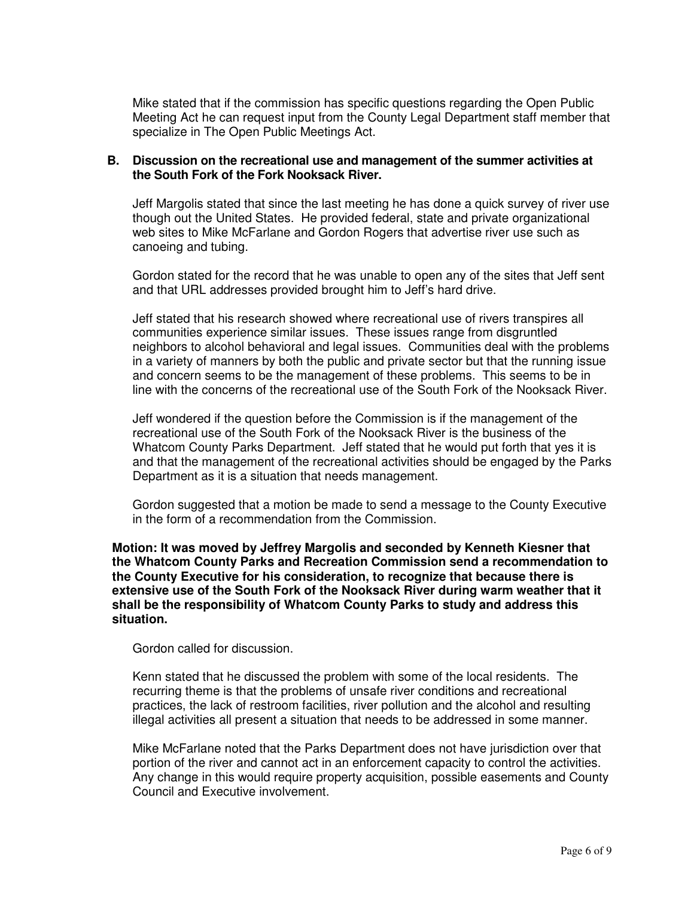Mike stated that if the commission has specific questions regarding the Open Public Meeting Act he can request input from the County Legal Department staff member that specialize in The Open Public Meetings Act.

# **B. Discussion on the recreational use and management of the summer activities at the South Fork of the Fork Nooksack River.**

Jeff Margolis stated that since the last meeting he has done a quick survey of river use though out the United States. He provided federal, state and private organizational web sites to Mike McFarlane and Gordon Rogers that advertise river use such as canoeing and tubing.

 Gordon stated for the record that he was unable to open any of the sites that Jeff sent and that URL addresses provided brought him to Jeff's hard drive.

 Jeff stated that his research showed where recreational use of rivers transpires all communities experience similar issues. These issues range from disgruntled neighbors to alcohol behavioral and legal issues. Communities deal with the problems in a variety of manners by both the public and private sector but that the running issue and concern seems to be the management of these problems. This seems to be in line with the concerns of the recreational use of the South Fork of the Nooksack River.

 Jeff wondered if the question before the Commission is if the management of the recreational use of the South Fork of the Nooksack River is the business of the Whatcom County Parks Department. Jeff stated that he would put forth that yes it is and that the management of the recreational activities should be engaged by the Parks Department as it is a situation that needs management.

 Gordon suggested that a motion be made to send a message to the County Executive in the form of a recommendation from the Commission.

**Motion: It was moved by Jeffrey Margolis and seconded by Kenneth Kiesner that the Whatcom County Parks and Recreation Commission send a recommendation to the County Executive for his consideration, to recognize that because there is extensive use of the South Fork of the Nooksack River during warm weather that it shall be the responsibility of Whatcom County Parks to study and address this situation.** 

Gordon called for discussion.

 Kenn stated that he discussed the problem with some of the local residents. The recurring theme is that the problems of unsafe river conditions and recreational practices, the lack of restroom facilities, river pollution and the alcohol and resulting illegal activities all present a situation that needs to be addressed in some manner.

Mike McFarlane noted that the Parks Department does not have jurisdiction over that portion of the river and cannot act in an enforcement capacity to control the activities. Any change in this would require property acquisition, possible easements and County Council and Executive involvement.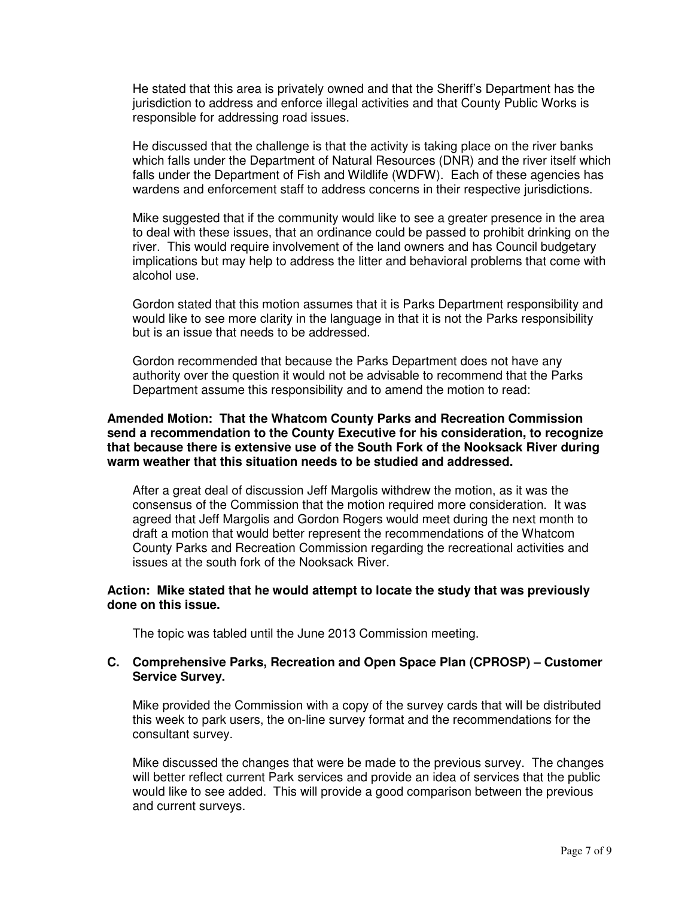He stated that this area is privately owned and that the Sheriff's Department has the jurisdiction to address and enforce illegal activities and that County Public Works is responsible for addressing road issues.

He discussed that the challenge is that the activity is taking place on the river banks which falls under the Department of Natural Resources (DNR) and the river itself which falls under the Department of Fish and Wildlife (WDFW). Each of these agencies has wardens and enforcement staff to address concerns in their respective jurisdictions.

Mike suggested that if the community would like to see a greater presence in the area to deal with these issues, that an ordinance could be passed to prohibit drinking on the river. This would require involvement of the land owners and has Council budgetary implications but may help to address the litter and behavioral problems that come with alcohol use.

Gordon stated that this motion assumes that it is Parks Department responsibility and would like to see more clarity in the language in that it is not the Parks responsibility but is an issue that needs to be addressed.

Gordon recommended that because the Parks Department does not have any authority over the question it would not be advisable to recommend that the Parks Department assume this responsibility and to amend the motion to read:

### **Amended Motion: That the Whatcom County Parks and Recreation Commission send a recommendation to the County Executive for his consideration, to recognize that because there is extensive use of the South Fork of the Nooksack River during warm weather that this situation needs to be studied and addressed.**

After a great deal of discussion Jeff Margolis withdrew the motion, as it was the consensus of the Commission that the motion required more consideration. It was agreed that Jeff Margolis and Gordon Rogers would meet during the next month to draft a motion that would better represent the recommendations of the Whatcom County Parks and Recreation Commission regarding the recreational activities and issues at the south fork of the Nooksack River.

# **Action: Mike stated that he would attempt to locate the study that was previously done on this issue.**

The topic was tabled until the June 2013 Commission meeting.

# **C. Comprehensive Parks, Recreation and Open Space Plan (CPROSP) – Customer Service Survey.**

 Mike provided the Commission with a copy of the survey cards that will be distributed this week to park users, the on-line survey format and the recommendations for the consultant survey.

 Mike discussed the changes that were be made to the previous survey. The changes will better reflect current Park services and provide an idea of services that the public would like to see added. This will provide a good comparison between the previous and current surveys.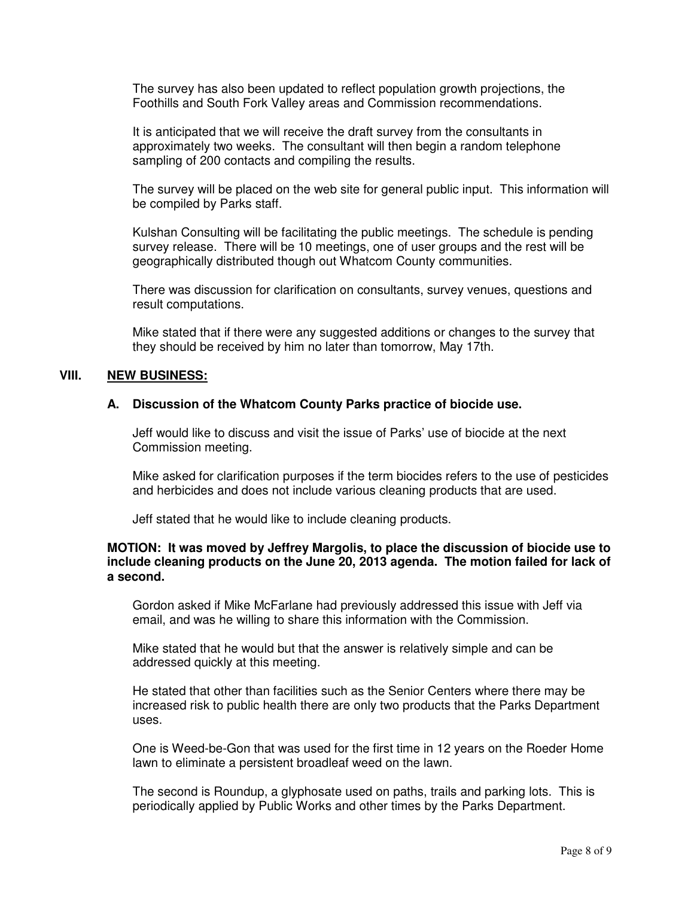The survey has also been updated to reflect population growth projections, the Foothills and South Fork Valley areas and Commission recommendations.

 It is anticipated that we will receive the draft survey from the consultants in approximately two weeks. The consultant will then begin a random telephone sampling of 200 contacts and compiling the results.

 The survey will be placed on the web site for general public input. This information will be compiled by Parks staff.

 Kulshan Consulting will be facilitating the public meetings. The schedule is pending survey release. There will be 10 meetings, one of user groups and the rest will be geographically distributed though out Whatcom County communities.

 There was discussion for clarification on consultants, survey venues, questions and result computations.

 Mike stated that if there were any suggested additions or changes to the survey that they should be received by him no later than tomorrow, May 17th.

### **VIII. NEW BUSINESS:**

#### **A. Discussion of the Whatcom County Parks practice of biocide use.**

Jeff would like to discuss and visit the issue of Parks' use of biocide at the next Commission meeting.

 Mike asked for clarification purposes if the term biocides refers to the use of pesticides and herbicides and does not include various cleaning products that are used.

Jeff stated that he would like to include cleaning products.

### **MOTION: It was moved by Jeffrey Margolis, to place the discussion of biocide use to include cleaning products on the June 20, 2013 agenda. The motion failed for lack of a second.**

Gordon asked if Mike McFarlane had previously addressed this issue with Jeff via email, and was he willing to share this information with the Commission.

Mike stated that he would but that the answer is relatively simple and can be addressed quickly at this meeting.

He stated that other than facilities such as the Senior Centers where there may be increased risk to public health there are only two products that the Parks Department uses.

One is Weed-be-Gon that was used for the first time in 12 years on the Roeder Home lawn to eliminate a persistent broadleaf weed on the lawn.

The second is Roundup, a glyphosate used on paths, trails and parking lots. This is periodically applied by Public Works and other times by the Parks Department.